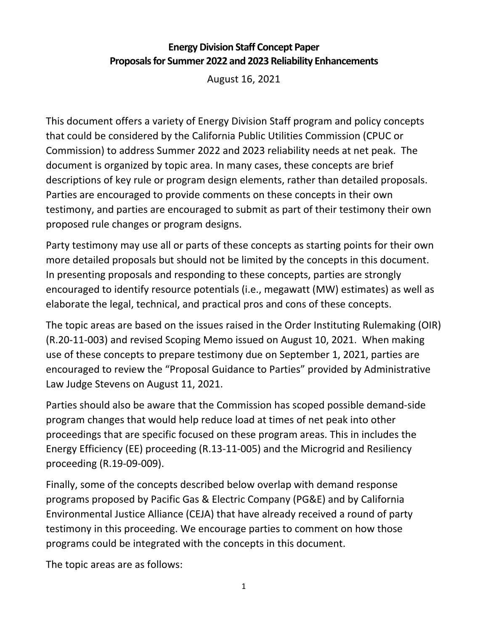## **Energy Division Staff Concept Paper Proposalsfor Summer 2022 and 2023 Reliability Enhancements**

August 16, 2021

This document offers a variety of Energy Division Staff program and policy concepts that could be considered by the California Public Utilities Commission (CPUC or Commission) to address Summer 2022 and 2023 reliability needs at net peak. The document is organized by topic area. In many cases, these concepts are brief descriptions of key rule or program design elements, rather than detailed proposals. Parties are encouraged to provide comments on these concepts in their own testimony, and parties are encouraged to submit as part of their testimony their own proposed rule changes or program designs.

Party testimony may use all or parts of these concepts as starting points for their own more detailed proposals but should not be limited by the concepts in this document. In presenting proposals and responding to these concepts, parties are strongly encouraged to identify resource potentials (i.e., megawatt (MW) estimates) as well as elaborate the legal, technical, and practical pros and cons of these concepts.

The topic areas are based on the issues raised in the Order Instituting Rulemaking (OIR) (R.20‐11‐003) and revised Scoping Memo issued on August 10, 2021. When making use of these concepts to prepare testimony due on September 1, 2021, parties are encouraged to review the "Proposal Guidance to Parties" provided by Administrative Law Judge Stevens on August 11, 2021.

Parties should also be aware that the Commission has scoped possible demand‐side program changes that would help reduce load at times of net peak into other proceedings that are specific focused on these program areas. This in includes the Energy Efficiency (EE) proceeding (R.13‐11‐005) and the Microgrid and Resiliency proceeding (R.19‐09‐009).

Finally, some of the concepts described below overlap with demand response programs proposed by Pacific Gas & Electric Company (PG&E) and by California Environmental Justice Alliance (CEJA) that have already received a round of party testimony in this proceeding. We encourage parties to comment on how those programs could be integrated with the concepts in this document.

The topic areas are as follows: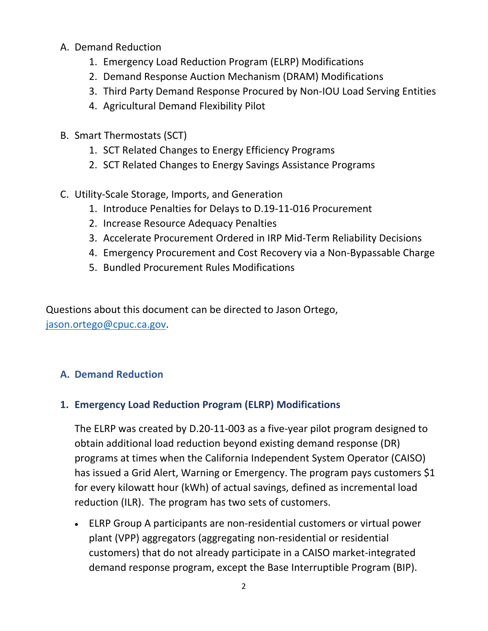- A. Demand Reduction
	- 1. Emergency Load Reduction Program (ELRP) Modifications
	- 2. Demand Response Auction Mechanism (DRAM) Modifications
	- 3. Third Party Demand Response Procured by Non‐IOU Load Serving Entities
	- 4. Agricultural Demand Flexibility Pilot
- B. Smart Thermostats (SCT)
	- 1. SCT Related Changes to Energy Efficiency Programs
	- 2. SCT Related Changes to Energy Savings Assistance Programs
- C. Utility‐Scale Storage, Imports, and Generation
	- 1. Introduce Penalties for Delays to D.19‐11‐016 Procurement
	- 2. Increase Resource Adequacy Penalties
	- 3. Accelerate Procurement Ordered in IRP Mid‐Term Reliability Decisions
	- 4. Emergency Procurement and Cost Recovery via a Non‐Bypassable Charge
	- 5. Bundled Procurement Rules Modifications

Questions about this document can be directed to Jason Ortego, jason.ortego@cpuc.ca.gov.

# **A. Demand Reduction**

## **1. Emergency Load Reduction Program (ELRP) Modifications**

The ELRP was created by D.20‐11‐003 as a five‐year pilot program designed to obtain additional load reduction beyond existing demand response (DR) programs at times when the California Independent System Operator (CAISO) has issued a Grid Alert, Warning or Emergency. The program pays customers \$1 for every kilowatt hour (kWh) of actual savings, defined as incremental load reduction (ILR). The program has two sets of customers.

■ ELRP Group A participants are non-residential customers or virtual power plant (VPP) aggregators (aggregating non‐residential or residential customers) that do not already participate in a CAISO market‐integrated demand response program, except the Base Interruptible Program (BIP).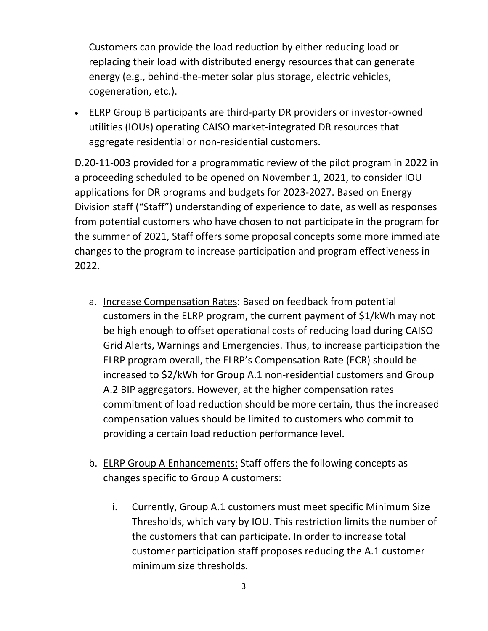Customers can provide the load reduction by either reducing load or replacing their load with distributed energy resources that can generate energy (e.g., behind-the-meter solar plus storage, electric vehicles, cogeneration, etc.).

 ELRP Group B participants are third‐party DR providers or investor‐owned utilities (IOUs) operating CAISO market‐integrated DR resources that aggregate residential or non‐residential customers.

D.20‐11‐003 provided for a programmatic review of the pilot program in 2022 in a proceeding scheduled to be opened on November 1, 2021, to consider IOU applications for DR programs and budgets for 2023‐2027. Based on Energy Division staff ("Staff") understanding of experience to date, as well as responses from potential customers who have chosen to not participate in the program for the summer of 2021, Staff offers some proposal concepts some more immediate changes to the program to increase participation and program effectiveness in 2022.

- a. Increase Compensation Rates: Based on feedback from potential customers in the ELRP program, the current payment of \$1/kWh may not be high enough to offset operational costs of reducing load during CAISO Grid Alerts, Warnings and Emergencies. Thus, to increase participation the ELRP program overall, the ELRP's Compensation Rate (ECR) should be increased to \$2/kWh for Group A.1 non‐residential customers and Group A.2 BIP aggregators. However, at the higher compensation rates commitment of load reduction should be more certain, thus the increased compensation values should be limited to customers who commit to providing a certain load reduction performance level.
- b. ELRP Group A Enhancements: Staff offers the following concepts as changes specific to Group A customers:
	- i. Currently, Group A.1 customers must meet specific Minimum Size Thresholds, which vary by IOU. This restriction limits the number of the customers that can participate. In order to increase total customer participation staff proposes reducing the A.1 customer minimum size thresholds.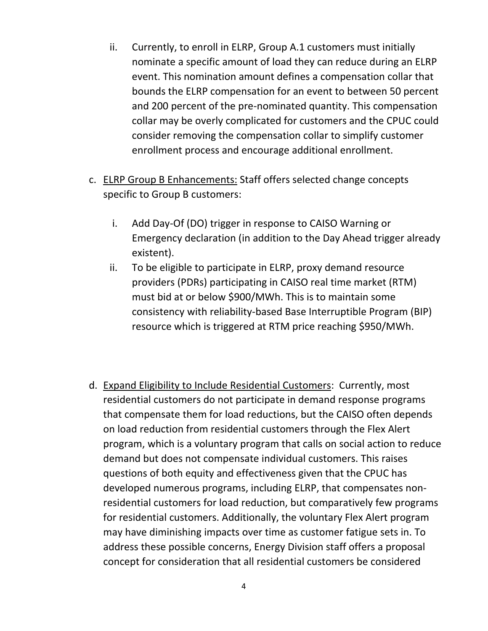- ii. Currently, to enroll in ELRP, Group A.1 customers must initially nominate a specific amount of load they can reduce during an ELRP event. This nomination amount defines a compensation collar that bounds the ELRP compensation for an event to between 50 percent and 200 percent of the pre‐nominated quantity. This compensation collar may be overly complicated for customers and the CPUC could consider removing the compensation collar to simplify customer enrollment process and encourage additional enrollment.
- c. ELRP Group B Enhancements: Staff offers selected change concepts specific to Group B customers:
	- i. Add Day‐Of (DO) trigger in response to CAISO Warning or Emergency declaration (in addition to the Day Ahead trigger already existent).
	- ii. To be eligible to participate in ELRP, proxy demand resource providers (PDRs) participating in CAISO real time market (RTM) must bid at or below \$900/MWh. This is to maintain some consistency with reliability‐based Base Interruptible Program (BIP) resource which is triggered at RTM price reaching \$950/MWh.
- d. Expand Eligibility to Include Residential Customers: Currently, most residential customers do not participate in demand response programs that compensate them for load reductions, but the CAISO often depends on load reduction from residential customers through the Flex Alert program, which is a voluntary program that calls on social action to reduce demand but does not compensate individual customers. This raises questions of both equity and effectiveness given that the CPUC has developed numerous programs, including ELRP, that compensates non‐ residential customers for load reduction, but comparatively few programs for residential customers. Additionally, the voluntary Flex Alert program may have diminishing impacts over time as customer fatigue sets in. To address these possible concerns, Energy Division staff offers a proposal concept for consideration that all residential customers be considered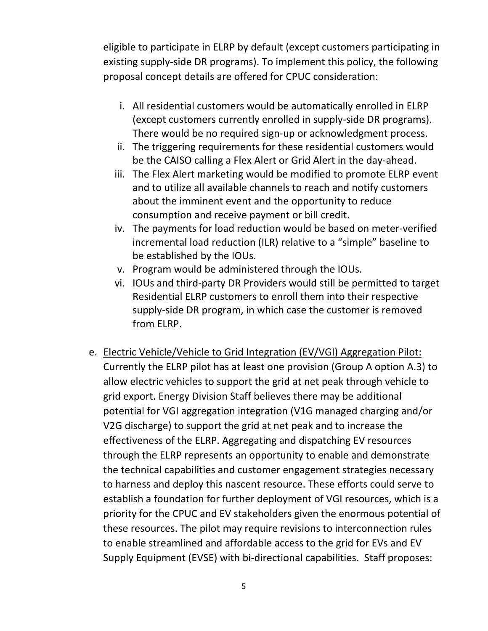eligible to participate in ELRP by default (except customers participating in existing supply‐side DR programs). To implement this policy, the following proposal concept details are offered for CPUC consideration:

- i. All residential customers would be automatically enrolled in ELRP (except customers currently enrolled in supply‐side DR programs). There would be no required sign‐up or acknowledgment process.
- ii. The triggering requirements for these residential customers would be the CAISO calling a Flex Alert or Grid Alert in the day-ahead.
- iii. The Flex Alert marketing would be modified to promote ELRP event and to utilize all available channels to reach and notify customers about the imminent event and the opportunity to reduce consumption and receive payment or bill credit.
- iv. The payments for load reduction would be based on meter‐verified incremental load reduction (ILR) relative to a "simple" baseline to be established by the IOUs.
- v. Program would be administered through the IOUs.
- vi. IOUs and third‐party DR Providers would still be permitted to target Residential ELRP customers to enroll them into their respective supply‐side DR program, in which case the customer is removed from ELRP.
- e. Electric Vehicle/Vehicle to Grid Integration (EV/VGI) Aggregation Pilot: Currently the ELRP pilot has at least one provision (Group A option A.3) to allow electric vehicles to support the grid at net peak through vehicle to grid export. Energy Division Staff believes there may be additional potential for VGI aggregation integration (V1G managed charging and/or V2G discharge) to support the grid at net peak and to increase the effectiveness of the ELRP. Aggregating and dispatching EV resources through the ELRP represents an opportunity to enable and demonstrate the technical capabilities and customer engagement strategies necessary to harness and deploy this nascent resource. These efforts could serve to establish a foundation for further deployment of VGI resources, which is a priority for the CPUC and EV stakeholders given the enormous potential of these resources. The pilot may require revisions to interconnection rules to enable streamlined and affordable access to the grid for EVs and EV Supply Equipment (EVSE) with bi‐directional capabilities. Staff proposes: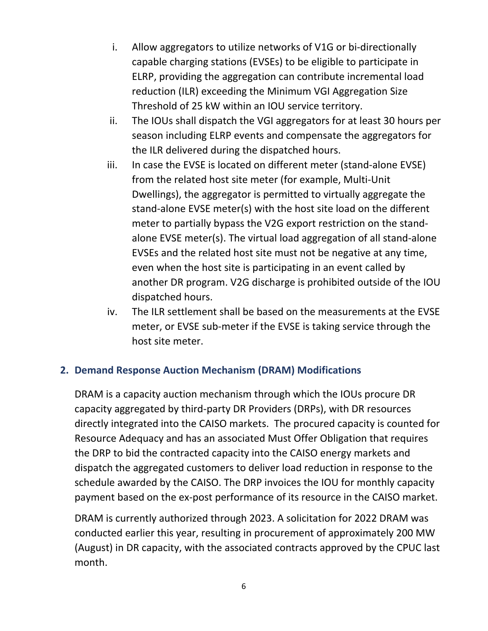- i. Allow aggregators to utilize networks of V1G or bi‐directionally capable charging stations (EVSEs) to be eligible to participate in ELRP, providing the aggregation can contribute incremental load reduction (ILR) exceeding the Minimum VGI Aggregation Size Threshold of 25 kW within an IOU service territory.
- ii. The IOUs shall dispatch the VGI aggregators for at least 30 hours per season including ELRP events and compensate the aggregators for the ILR delivered during the dispatched hours.
- iii. In case the EVSE is located on different meter (stand-alone EVSE) from the related host site meter (for example, Multi‐Unit Dwellings), the aggregator is permitted to virtually aggregate the stand‐alone EVSE meter(s) with the host site load on the different meter to partially bypass the V2G export restriction on the stand‐ alone EVSE meter(s). The virtual load aggregation of all stand‐alone EVSEs and the related host site must not be negative at any time, even when the host site is participating in an event called by another DR program. V2G discharge is prohibited outside of the IOU dispatched hours.
- iv. The ILR settlement shall be based on the measurements at the EVSE meter, or EVSE sub-meter if the EVSE is taking service through the host site meter.

### **2. Demand Response Auction Mechanism (DRAM) Modifications**

DRAM is a capacity auction mechanism through which the IOUs procure DR capacity aggregated by third‐party DR Providers (DRPs), with DR resources directly integrated into the CAISO markets. The procured capacity is counted for Resource Adequacy and has an associated Must Offer Obligation that requires the DRP to bid the contracted capacity into the CAISO energy markets and dispatch the aggregated customers to deliver load reduction in response to the schedule awarded by the CAISO. The DRP invoices the IOU for monthly capacity payment based on the ex‐post performance of its resource in the CAISO market.

DRAM is currently authorized through 2023. A solicitation for 2022 DRAM was conducted earlier this year, resulting in procurement of approximately 200 MW (August) in DR capacity, with the associated contracts approved by the CPUC last month.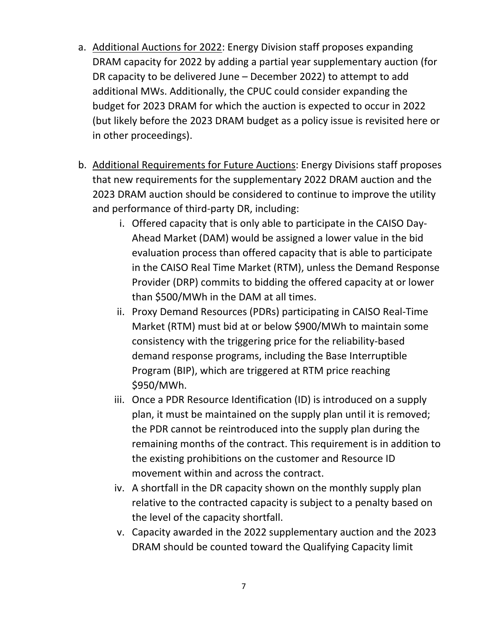- a. Additional Auctions for 2022: Energy Division staff proposes expanding DRAM capacity for 2022 by adding a partial year supplementary auction (for DR capacity to be delivered June – December 2022) to attempt to add additional MWs. Additionally, the CPUC could consider expanding the budget for 2023 DRAM for which the auction is expected to occur in 2022 (but likely before the 2023 DRAM budget as a policy issue is revisited here or in other proceedings).
- b. Additional Requirements for Future Auctions: Energy Divisions staff proposes that new requirements for the supplementary 2022 DRAM auction and the 2023 DRAM auction should be considered to continue to improve the utility and performance of third‐party DR, including:
	- i. Offered capacity that is only able to participate in the CAISO Day‐ Ahead Market (DAM) would be assigned a lower value in the bid evaluation process than offered capacity that is able to participate in the CAISO Real Time Market (RTM), unless the Demand Response Provider (DRP) commits to bidding the offered capacity at or lower than \$500/MWh in the DAM at all times.
	- ii. Proxy Demand Resources (PDRs) participating in CAISO Real‐Time Market (RTM) must bid at or below \$900/MWh to maintain some consistency with the triggering price for the reliability‐based demand response programs, including the Base Interruptible Program (BIP), which are triggered at RTM price reaching \$950/MWh.
	- iii. Once a PDR Resource Identification (ID) is introduced on a supply plan, it must be maintained on the supply plan until it is removed; the PDR cannot be reintroduced into the supply plan during the remaining months of the contract. This requirement is in addition to the existing prohibitions on the customer and Resource ID movement within and across the contract.
	- iv. A shortfall in the DR capacity shown on the monthly supply plan relative to the contracted capacity is subject to a penalty based on the level of the capacity shortfall.
	- v. Capacity awarded in the 2022 supplementary auction and the 2023 DRAM should be counted toward the Qualifying Capacity limit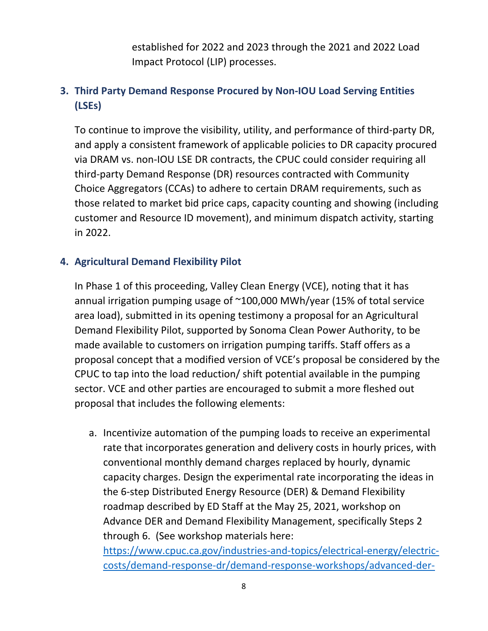established for 2022 and 2023 through the 2021 and 2022 Load Impact Protocol (LIP) processes.

# **3. Third Party Demand Response Procured by Non‐IOU Load Serving Entities (LSEs)**

To continue to improve the visibility, utility, and performance of third‐party DR, and apply a consistent framework of applicable policies to DR capacity procured via DRAM vs. non‐IOU LSE DR contracts, the CPUC could consider requiring all third‐party Demand Response (DR) resources contracted with Community Choice Aggregators (CCAs) to adhere to certain DRAM requirements, such as those related to market bid price caps, capacity counting and showing (including customer and Resource ID movement), and minimum dispatch activity, starting in 2022.

#### **4. Agricultural Demand Flexibility Pilot**

In Phase 1 of this proceeding, Valley Clean Energy (VCE), noting that it has annual irrigation pumping usage of ~100,000 MWh/year (15% of total service area load), submitted in its opening testimony a proposal for an Agricultural Demand Flexibility Pilot, supported by Sonoma Clean Power Authority, to be made available to customers on irrigation pumping tariffs. Staff offers as a proposal concept that a modified version of VCE's proposal be considered by the CPUC to tap into the load reduction/ shift potential available in the pumping sector. VCE and other parties are encouraged to submit a more fleshed out proposal that includes the following elements:

a. Incentivize automation of the pumping loads to receive an experimental rate that incorporates generation and delivery costs in hourly prices, with conventional monthly demand charges replaced by hourly, dynamic capacity charges. Design the experimental rate incorporating the ideas in the 6‐step Distributed Energy Resource (DER) & Demand Flexibility roadmap described by ED Staff at the May 25, 2021, workshop on Advance DER and Demand Flexibility Management, specifically Steps 2 through 6. (See workshop materials here:

https://www.cpuc.ca.gov/industries-and-topics/electrical-energy/electriccosts/demand‐response‐dr/demand‐response‐workshops/advanced‐der‐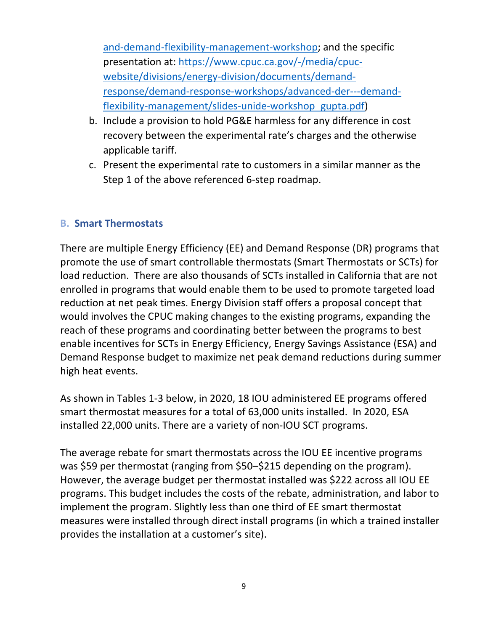and-demand-flexibility-management-workshop; and the specific presentation at: https://www.cpuc.ca.gov/-/media/cpucwebsite/divisions/energy-division/documents/demandresponse/demand‐response‐workshops/advanced‐der‐‐‐demand‐ flexibility-management/slides-unide-workshop\_gupta.pdf)

- b. Include a provision to hold PG&E harmless for any difference in cost recovery between the experimental rate's charges and the otherwise applicable tariff.
- c. Present the experimental rate to customers in a similar manner as the Step 1 of the above referenced 6-step roadmap.

#### **B. Smart Thermostats**

There are multiple Energy Efficiency (EE) and Demand Response (DR) programs that promote the use of smart controllable thermostats (Smart Thermostats or SCTs) for load reduction. There are also thousands of SCTs installed in California that are not enrolled in programs that would enable them to be used to promote targeted load reduction at net peak times. Energy Division staff offers a proposal concept that would involves the CPUC making changes to the existing programs, expanding the reach of these programs and coordinating better between the programs to best enable incentives for SCTs in Energy Efficiency, Energy Savings Assistance (ESA) and Demand Response budget to maximize net peak demand reductions during summer high heat events.

As shown in Tables 1‐3 below, in 2020, 18 IOU administered EE programs offered smart thermostat measures for a total of 63,000 units installed. In 2020, ESA installed 22,000 units. There are a variety of non‐IOU SCT programs.

The average rebate for smart thermostats across the IOU EE incentive programs was \$59 per thermostat (ranging from \$50–\$215 depending on the program). However, the average budget per thermostat installed was \$222 across all IOU EE programs. This budget includes the costs of the rebate, administration, and labor to implement the program. Slightly less than one third of EE smart thermostat measures were installed through direct install programs (in which a trained installer provides the installation at a customer's site).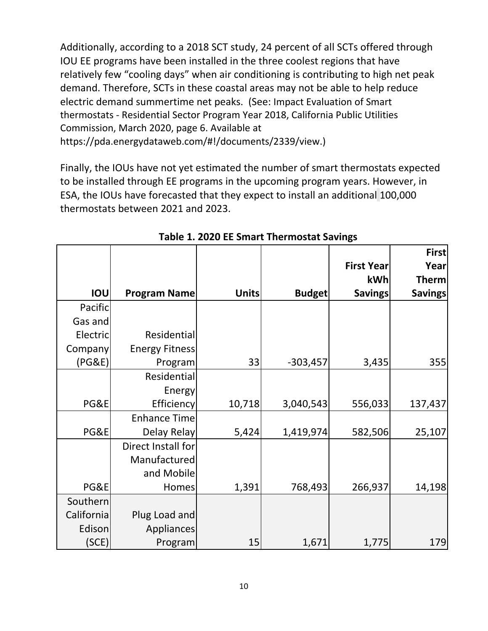Additionally, according to a 2018 SCT study, 24 percent of all SCTs offered through IOU EE programs have been installed in the three coolest regions that have relatively few "cooling days" when air conditioning is contributing to high net peak demand. Therefore, SCTs in these coastal areas may not be able to help reduce electric demand summertime net peaks. (See: Impact Evaluation of Smart thermostats ‐ Residential Sector Program Year 2018, California Public Utilities Commission, March 2020, page 6. Available at https://pda.energydataweb.com/#!/documents/2339/view.)

Finally, the IOUs have not yet estimated the number of smart thermostats expected to be installed through EE programs in the upcoming program years. However, in ESA, the IOUs have forecasted that they expect to install an additional 100,000 thermostats between 2021 and 2023.

|            |                       |              |               |                   | <b>First</b>   |
|------------|-----------------------|--------------|---------------|-------------------|----------------|
|            |                       |              |               | <b>First Year</b> | Year           |
|            |                       |              |               | kWh               | <b>Therm</b>   |
| IOU        | <b>Program Name</b>   | <b>Units</b> | <b>Budget</b> | <b>Savings</b>    | <b>Savings</b> |
| Pacific    |                       |              |               |                   |                |
| Gas and    |                       |              |               |                   |                |
| Electric   | Residential           |              |               |                   |                |
| Company    | <b>Energy Fitness</b> |              |               |                   |                |
| (PG&E)     | Program               | 33           | $-303,457$    | 3,435             | 355            |
|            | Residential           |              |               |                   |                |
|            | Energy                |              |               |                   |                |
| PG&E       | <b>Efficiency</b>     | 10,718       | 3,040,543     | 556,033           | 137,437        |
|            | <b>Enhance Time</b>   |              |               |                   |                |
| PG&E       | Delay Relay           | 5,424        | 1,419,974     | 582,506           | 25,107         |
|            | Direct Install for    |              |               |                   |                |
|            | Manufactured          |              |               |                   |                |
|            | and Mobile            |              |               |                   |                |
| PG&E       | Homes                 | 1,391        | 768,493       | 266,937           | 14,198         |
| Southern   |                       |              |               |                   |                |
| California | Plug Load and         |              |               |                   |                |
| Edison     | Appliances            |              |               |                   |                |
| (SCE)      | Program               | 15           | 1,671         | 1,775             | 179            |

**Table 1. 2020 EE Smart Thermostat Savings**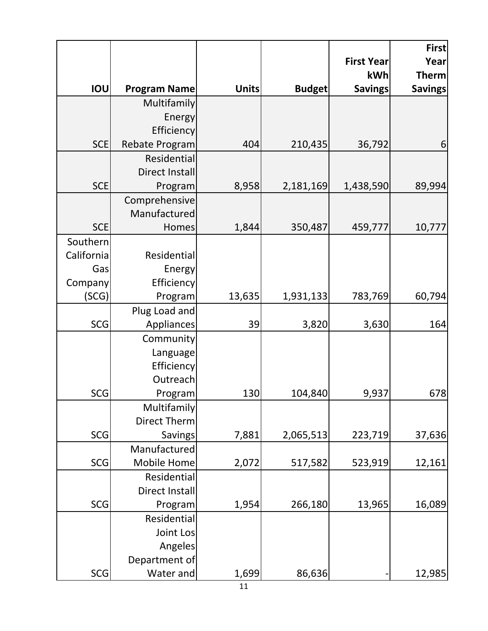|            |                     |              |               |                          | <b>First</b>                   |
|------------|---------------------|--------------|---------------|--------------------------|--------------------------------|
|            |                     |              |               | <b>First Year</b><br>kWh | Year                           |
| IOU        | <b>Program Name</b> | <b>Units</b> | <b>Budget</b> | <b>Savings</b>           | <b>Therm</b><br><b>Savings</b> |
|            | Multifamily         |              |               |                          |                                |
|            | Energy              |              |               |                          |                                |
|            | Efficiency          |              |               |                          |                                |
| <b>SCE</b> | Rebate Program      | 404          | 210,435       | 36,792                   | 6                              |
|            | Residential         |              |               |                          |                                |
|            | Direct Install      |              |               |                          |                                |
| <b>SCE</b> | Program             | 8,958        | 2,181,169     | 1,438,590                | 89,994                         |
|            | Comprehensive       |              |               |                          |                                |
|            | Manufactured        |              |               |                          |                                |
| <b>SCE</b> | Homes               | 1,844        | 350,487       | 459,777                  | 10,777                         |
| Southern   |                     |              |               |                          |                                |
| California | Residential         |              |               |                          |                                |
| Gas        | Energy              |              |               |                          |                                |
| Company    | Efficiency          |              |               |                          |                                |
| (SCG)      | Program             | 13,635       | 1,931,133     | 783,769                  | 60,794                         |
|            | Plug Load and       |              |               |                          |                                |
| <b>SCG</b> | Appliances          | 39           | 3,820         | 3,630                    | 164                            |
|            | Community           |              |               |                          |                                |
|            | Language            |              |               |                          |                                |
|            | Efficiency          |              |               |                          |                                |
|            | Outreach            |              |               |                          |                                |
| <b>SCG</b> | Program             | 130          | 104,840       | 9,937                    | 678                            |
|            | Multifamily         |              |               |                          |                                |
|            | Direct Therm        |              |               |                          |                                |
| <b>SCG</b> | <b>Savings</b>      | 7,881        | 2,065,513     | 223,719                  | 37,636                         |
|            | Manufactured        |              |               |                          |                                |
| SCG        | Mobile Home         | 2,072        | 517,582       | 523,919                  | 12,161                         |
|            | Residential         |              |               |                          |                                |
|            | Direct Install      |              |               |                          |                                |
| <b>SCG</b> | Program             | 1,954        | 266,180       | 13,965                   | 16,089                         |
|            | Residential         |              |               |                          |                                |
|            | Joint Los           |              |               |                          |                                |
|            | Angeles             |              |               |                          |                                |
|            | Department of       |              |               |                          |                                |
| <b>SCG</b> | Water and           | 1,699        | 86,636        |                          | 12,985                         |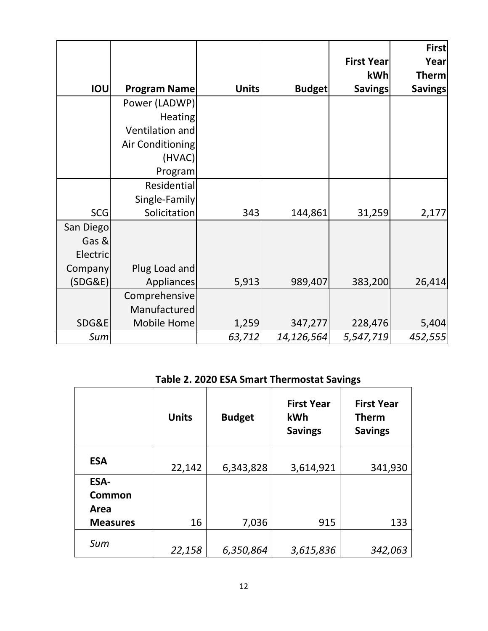|            |                     |              |               |                   | First          |
|------------|---------------------|--------------|---------------|-------------------|----------------|
|            |                     |              |               | <b>First Year</b> | Year           |
|            |                     |              |               | kWh               | <b>Therm</b>   |
| <b>IOU</b> | <b>Program Name</b> | <b>Units</b> | <b>Budget</b> | <b>Savings</b>    | <b>Savings</b> |
|            | Power (LADWP)       |              |               |                   |                |
|            | Heating             |              |               |                   |                |
|            | Ventilation and     |              |               |                   |                |
|            | Air Conditioning    |              |               |                   |                |
|            | (HVAC)              |              |               |                   |                |
|            | Program             |              |               |                   |                |
|            | Residential         |              |               |                   |                |
|            | Single-Family       |              |               |                   |                |
| <b>SCG</b> | Solicitation        | 343          | 144,861       | 31,259            | 2,177          |
| San Diego  |                     |              |               |                   |                |
| Gas &      |                     |              |               |                   |                |
| Electric   |                     |              |               |                   |                |
| Company    | Plug Load and       |              |               |                   |                |
| (SDG&E)    | Appliances          | 5,913        | 989,407       | 383,200           | 26,414         |
|            | Comprehensive       |              |               |                   |                |
|            | Manufactured        |              |               |                   |                |
| SDG&E      | Mobile Home         | 1,259        | 347,277       | 228,476           | 5,404          |
| Sum        |                     | 63,712       | 14,126,564    | 5,547,719         | 452,555        |

**Table 2. 2020 ESA Smart Thermostat Savings** 

|                 | <b>Units</b> | <b>Budget</b> | <b>First Year</b><br><b>kWh</b><br><b>Savings</b> | <b>First Year</b><br><b>Therm</b><br><b>Savings</b> |
|-----------------|--------------|---------------|---------------------------------------------------|-----------------------------------------------------|
| <b>ESA</b>      | 22,142       | 6,343,828     | 3,614,921                                         | 341,930                                             |
| <b>ESA-</b>     |              |               |                                                   |                                                     |
| Common          |              |               |                                                   |                                                     |
| Area            |              |               |                                                   |                                                     |
| <b>Measures</b> | 16           | 7,036         | 915                                               | 133                                                 |
| Sum             | 22,158       | 6,350,864     | 3,615,836                                         | 342,063                                             |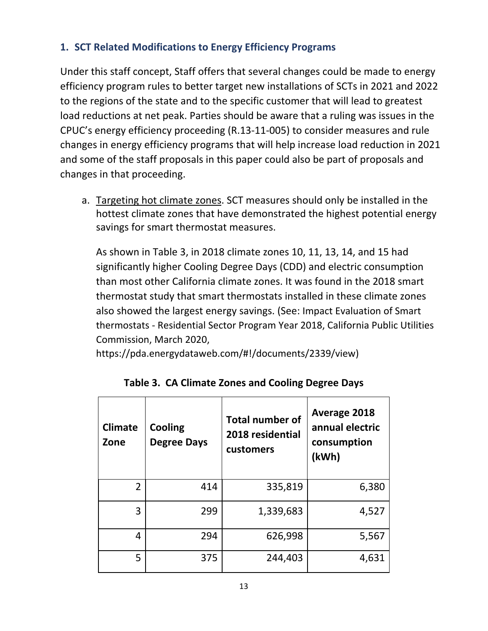## **1. SCT Related Modifications to Energy Efficiency Programs**

Under this staff concept, Staff offers that several changes could be made to energy efficiency program rules to better target new installations of SCTs in 2021 and 2022 to the regions of the state and to the specific customer that will lead to greatest load reductions at net peak. Parties should be aware that a ruling was issues in the CPUC's energy efficiency proceeding (R.13‐11‐005) to consider measures and rule changes in energy efficiency programs that will help increase load reduction in 2021 and some of the staff proposals in this paper could also be part of proposals and changes in that proceeding.

a. Targeting hot climate zones. SCT measures should only be installed in the hottest climate zones that have demonstrated the highest potential energy savings for smart thermostat measures.

As shown in Table 3, in 2018 climate zones 10, 11, 13, 14, and 15 had significantly higher Cooling Degree Days (CDD) and electric consumption than most other California climate zones. It was found in the 2018 smart thermostat study that smart thermostats installed in these climate zones also showed the largest energy savings. (See: Impact Evaluation of Smart thermostats ‐ Residential Sector Program Year 2018, California Public Utilities Commission, March 2020,

https://pda.energydataweb.com/#!/documents/2339/view)

| <b>Climate</b><br>Zone | Cooling<br><b>Degree Days</b> | <b>Total number of</b><br>2018 residential<br>customers | <b>Average 2018</b><br>annual electric<br>consumption<br>(kWh) |
|------------------------|-------------------------------|---------------------------------------------------------|----------------------------------------------------------------|
| $\overline{2}$         | 414                           | 335,819                                                 | 6,380                                                          |
| 3                      | 299                           | 1,339,683                                               | 4,527                                                          |
| 4                      | 294                           | 626,998                                                 | 5,567                                                          |
| 5                      | 375                           | 244,403                                                 | 4,631                                                          |

**Table 3. CA Climate Zones and Cooling Degree Days**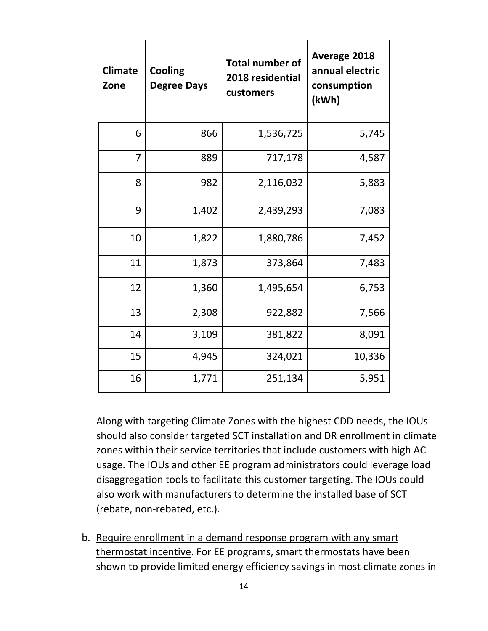| <b>Climate</b><br>Zone | <b>Cooling</b><br><b>Degree Days</b> | <b>Total number of</b><br>2018 residential<br>customers | <b>Average 2018</b><br>annual electric<br>consumption<br>(kWh) |
|------------------------|--------------------------------------|---------------------------------------------------------|----------------------------------------------------------------|
| 6                      | 866                                  | 1,536,725                                               | 5,745                                                          |
| $\overline{7}$         | 889                                  | 717,178                                                 | 4,587                                                          |
| 8                      | 982                                  | 2,116,032                                               | 5,883                                                          |
| 9                      | 1,402                                | 2,439,293                                               | 7,083                                                          |
| 10                     | 1,822                                | 1,880,786                                               | 7,452                                                          |
| 11                     | 1,873                                | 373,864                                                 | 7,483                                                          |
| 12                     | 1,360                                | 1,495,654                                               | 6,753                                                          |
| 13                     | 2,308                                | 922,882                                                 | 7,566                                                          |
| 14                     | 3,109                                | 381,822                                                 | 8,091                                                          |
| 15                     | 4,945                                | 324,021                                                 | 10,336                                                         |
| 16                     | 1,771                                | 251,134                                                 | 5,951                                                          |

Along with targeting Climate Zones with the highest CDD needs, the IOUs should also consider targeted SCT installation and DR enrollment in climate zones within their service territories that include customers with high AC usage. The IOUs and other EE program administrators could leverage load disaggregation tools to facilitate this customer targeting. The IOUs could also work with manufacturers to determine the installed base of SCT (rebate, non‐rebated, etc.).

b. Require enrollment in a demand response program with any smart thermostat incentive. For EE programs, smart thermostats have been shown to provide limited energy efficiency savings in most climate zones in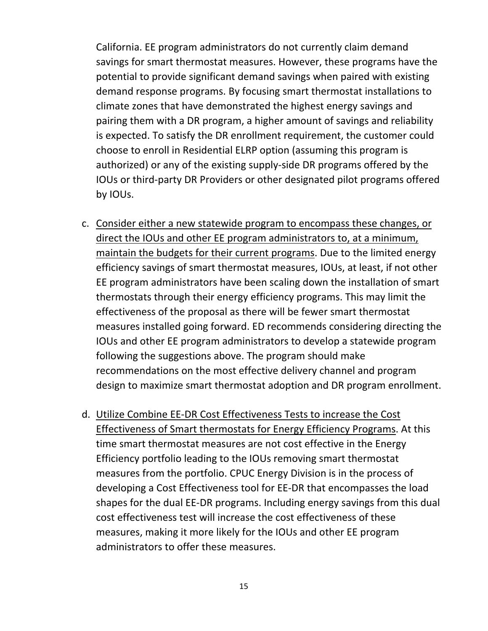California. EE program administrators do not currently claim demand savings for smart thermostat measures. However, these programs have the potential to provide significant demand savings when paired with existing demand response programs. By focusing smart thermostat installations to climate zones that have demonstrated the highest energy savings and pairing them with a DR program, a higher amount of savings and reliability is expected. To satisfy the DR enrollment requirement, the customer could choose to enroll in Residential ELRP option (assuming this program is authorized) or any of the existing supply‐side DR programs offered by the IOUs or third‐party DR Providers or other designated pilot programs offered by IOUs.

- c. Consider either a new statewide program to encompass these changes, or direct the IOUs and other EE program administrators to, at a minimum, maintain the budgets for their current programs. Due to the limited energy efficiency savings of smart thermostat measures, IOUs, at least, if not other EE program administrators have been scaling down the installation of smart thermostats through their energy efficiency programs. This may limit the effectiveness of the proposal as there will be fewer smart thermostat measures installed going forward. ED recommends considering directing the IOUs and other EE program administrators to develop a statewide program following the suggestions above. The program should make recommendations on the most effective delivery channel and program design to maximize smart thermostat adoption and DR program enrollment.
- d. Utilize Combine EE‐DR Cost Effectiveness Tests to increase the Cost Effectiveness of Smart thermostats for Energy Efficiency Programs. At this time smart thermostat measures are not cost effective in the Energy Efficiency portfolio leading to the IOUs removing smart thermostat measures from the portfolio. CPUC Energy Division is in the process of developing a Cost Effectiveness tool for EE‐DR that encompasses the load shapes for the dual EE‐DR programs. Including energy savings from this dual cost effectiveness test will increase the cost effectiveness of these measures, making it more likely for the IOUs and other EE program administrators to offer these measures.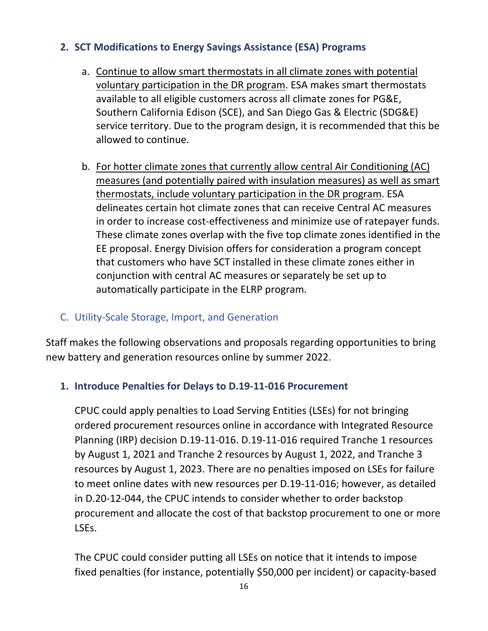### **2. SCT Modifications to Energy Savings Assistance (ESA) Programs**

- a. Continue to allow smart thermostats in all climate zones with potential voluntary participation in the DR program. ESA makes smart thermostats available to all eligible customers across all climate zones for PG&E, Southern California Edison (SCE), and San Diego Gas & Electric (SDG&E) service territory. Due to the program design, it is recommended that this be allowed to continue.
- b. For hotter climate zones that currently allow central Air Conditioning (AC) measures (and potentially paired with insulation measures) as well as smart thermostats, include voluntary participation in the DR program. ESA delineates certain hot climate zones that can receive Central AC measures in order to increase cost-effectiveness and minimize use of ratepayer funds. These climate zones overlap with the five top climate zones identified in the EE proposal. Energy Division offers for consideration a program concept that customers who have SCT installed in these climate zones either in conjunction with central AC measures or separately be set up to automatically participate in the ELRP program.

#### C. Utility‐Scale Storage, Import, and Generation

Staff makes the following observations and proposals regarding opportunities to bring new battery and generation resources online by summer 2022.

#### **1. Introduce Penalties for Delays to D.19‐11‐016 Procurement**

CPUC could apply penalties to Load Serving Entities (LSEs) for not bringing ordered procurement resources online in accordance with Integrated Resource Planning (IRP) decision D.19‐11‐016. D.19‐11‐016 required Tranche 1 resources by August 1, 2021 and Tranche 2 resources by August 1, 2022, and Tranche 3 resources by August 1, 2023. There are no penalties imposed on LSEs for failure to meet online dates with new resources per D.19‐11‐016; however, as detailed in D.20‐12‐044, the CPUC intends to consider whether to order backstop procurement and allocate the cost of that backstop procurement to one or more LSEs.

The CPUC could consider putting all LSEs on notice that it intends to impose fixed penalties (for instance, potentially \$50,000 per incident) or capacity‐based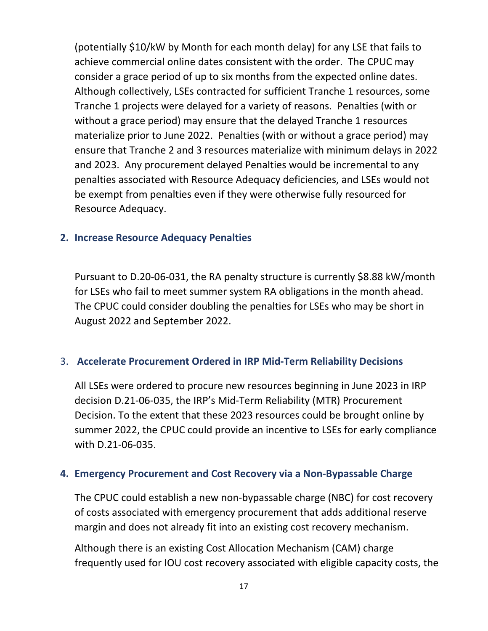(potentially \$10/kW by Month for each month delay) for any LSE that fails to achieve commercial online dates consistent with the order. The CPUC may consider a grace period of up to six months from the expected online dates. Although collectively, LSEs contracted for sufficient Tranche 1 resources, some Tranche 1 projects were delayed for a variety of reasons. Penalties (with or without a grace period) may ensure that the delayed Tranche 1 resources materialize prior to June 2022. Penalties (with or without a grace period) may ensure that Tranche 2 and 3 resources materialize with minimum delays in 2022 and 2023. Any procurement delayed Penalties would be incremental to any penalties associated with Resource Adequacy deficiencies, and LSEs would not be exempt from penalties even if they were otherwise fully resourced for Resource Adequacy.

#### **2. Increase Resource Adequacy Penalties**

Pursuant to D.20‐06‐031, the RA penalty structure is currently \$8.88 kW/month for LSEs who fail to meet summer system RA obligations in the month ahead. The CPUC could consider doubling the penalties for LSEs who may be short in August 2022 and September 2022.

### 3. **Accelerate Procurement Ordered in IRP Mid‐Term Reliability Decisions**

All LSEs were ordered to procure new resources beginning in June 2023 in IRP decision D.21‐06‐035, the IRP's Mid‐Term Reliability (MTR) Procurement Decision. To the extent that these 2023 resources could be brought online by summer 2022, the CPUC could provide an incentive to LSEs for early compliance with D.21‐06‐035.

#### **4. Emergency Procurement and Cost Recovery via a Non‐Bypassable Charge**

The CPUC could establish a new non‐bypassable charge (NBC) for cost recovery of costs associated with emergency procurement that adds additional reserve margin and does not already fit into an existing cost recovery mechanism.

Although there is an existing Cost Allocation Mechanism (CAM) charge frequently used for IOU cost recovery associated with eligible capacity costs, the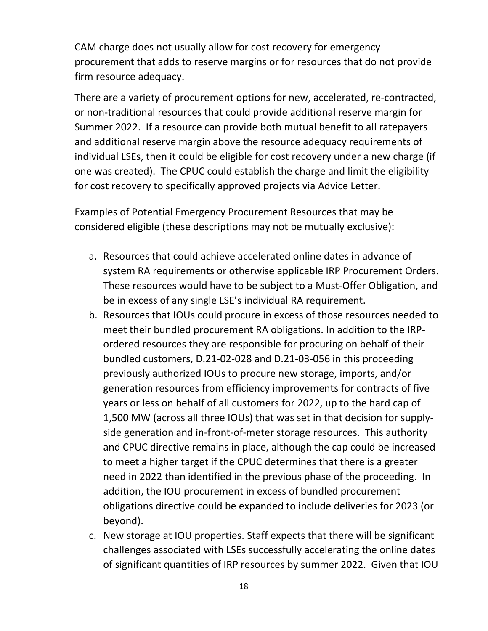CAM charge does not usually allow for cost recovery for emergency procurement that adds to reserve margins or for resources that do not provide firm resource adequacy.

There are a variety of procurement options for new, accelerated, re-contracted, or non‐traditional resources that could provide additional reserve margin for Summer 2022. If a resource can provide both mutual benefit to all ratepayers and additional reserve margin above the resource adequacy requirements of individual LSEs, then it could be eligible for cost recovery under a new charge (if one was created). The CPUC could establish the charge and limit the eligibility for cost recovery to specifically approved projects via Advice Letter.

Examples of Potential Emergency Procurement Resources that may be considered eligible (these descriptions may not be mutually exclusive):

- a. Resources that could achieve accelerated online dates in advance of system RA requirements or otherwise applicable IRP Procurement Orders. These resources would have to be subject to a Must‐Offer Obligation, and be in excess of any single LSE's individual RA requirement.
- b. Resources that IOUs could procure in excess of those resources needed to meet their bundled procurement RA obligations. In addition to the IRP‐ ordered resources they are responsible for procuring on behalf of their bundled customers, D.21‐02‐028 and D.21‐03‐056 in this proceeding previously authorized IOUs to procure new storage, imports, and/or generation resources from efficiency improvements for contracts of five years or less on behalf of all customers for 2022, up to the hard cap of 1,500 MW (across all three IOUs) that was set in that decision for supply‐ side generation and in‐front‐of‐meter storage resources. This authority and CPUC directive remains in place, although the cap could be increased to meet a higher target if the CPUC determines that there is a greater need in 2022 than identified in the previous phase of the proceeding. In addition, the IOU procurement in excess of bundled procurement obligations directive could be expanded to include deliveries for 2023 (or beyond).
- c. New storage at IOU properties. Staff expects that there will be significant challenges associated with LSEs successfully accelerating the online dates of significant quantities of IRP resources by summer 2022. Given that IOU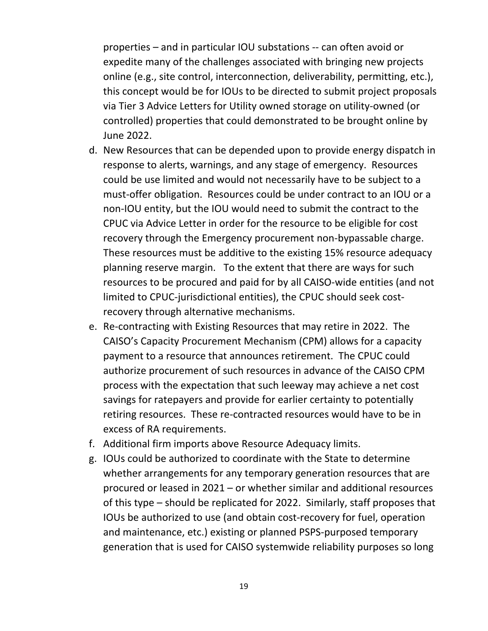properties – and in particular IOU substations ‐‐ can often avoid or expedite many of the challenges associated with bringing new projects online (e.g., site control, interconnection, deliverability, permitting, etc.), this concept would be for IOUs to be directed to submit project proposals via Tier 3 Advice Letters for Utility owned storage on utility‐owned (or controlled) properties that could demonstrated to be brought online by June 2022.

- d. New Resources that can be depended upon to provide energy dispatch in response to alerts, warnings, and any stage of emergency. Resources could be use limited and would not necessarily have to be subject to a must‐offer obligation. Resources could be under contract to an IOU or a non‐IOU entity, but the IOU would need to submit the contract to the CPUC via Advice Letter in order for the resource to be eligible for cost recovery through the Emergency procurement non‐bypassable charge. These resources must be additive to the existing 15% resource adequacy planning reserve margin. To the extent that there are ways for such resources to be procured and paid for by all CAISO‐wide entities (and not limited to CPUC‐jurisdictional entities), the CPUC should seek cost‐ recovery through alternative mechanisms.
- e. Re‐contracting with Existing Resources that may retire in 2022. The CAISO's Capacity Procurement Mechanism (CPM) allows for a capacity payment to a resource that announces retirement. The CPUC could authorize procurement of such resources in advance of the CAISO CPM process with the expectation that such leeway may achieve a net cost savings for ratepayers and provide for earlier certainty to potentially retiring resources. These re‐contracted resources would have to be in excess of RA requirements.
- f. Additional firm imports above Resource Adequacy limits.
- g. IOUs could be authorized to coordinate with the State to determine whether arrangements for any temporary generation resources that are procured or leased in 2021 – or whether similar and additional resources of this type – should be replicated for 2022. Similarly, staff proposes that IOUs be authorized to use (and obtain cost‐recovery for fuel, operation and maintenance, etc.) existing or planned PSPS‐purposed temporary generation that is used for CAISO systemwide reliability purposes so long